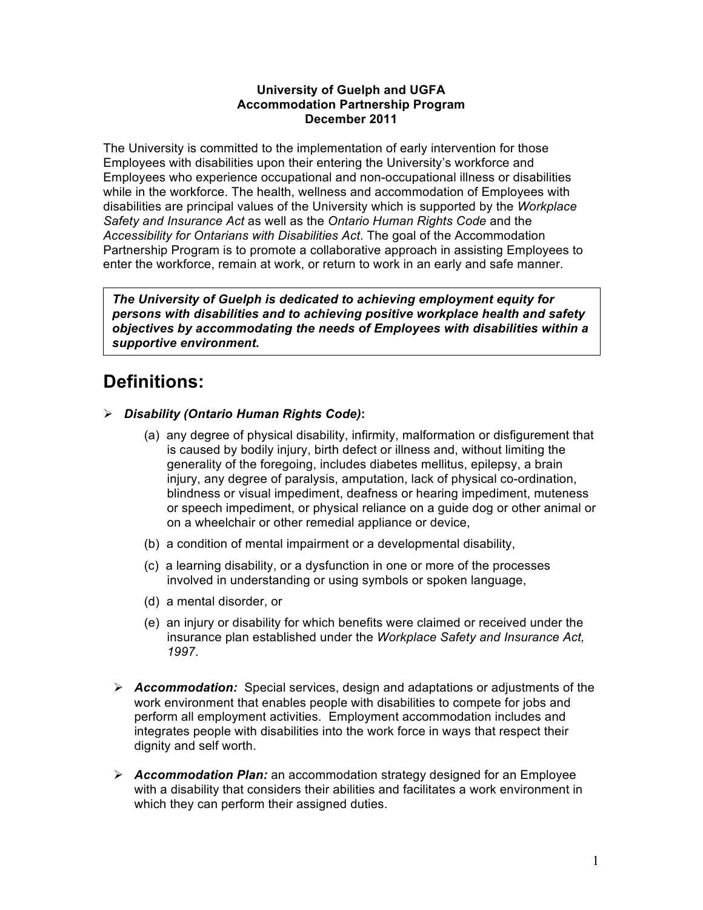#### **University of Guelph and UGFA Accommodation Partnership Program December 2011**

The University is committed to the implementation of early intervention for those Employees with disabilities upon their entering the University's workforce and Employees who experience occupational and non-occupational illness or disabilities while in the workforce. The health, wellness and accommodation of Employees with disabilities are principal values of the University which is supported by the *Workplace Safety and Insurance Act* as well as the *Ontario Human Rights Code* and the *Accessibility for Ontarians with Disabilities Act*. The goal of the Accommodation Partnership Program is to promote a collaborative approach in assisting Employees to enter the workforce, remain at work, or return to work in an early and safe manner.

*The University of Guelph is dedicated to achieving employment equity for persons with disabilities and to achieving positive workplace health and safety objectives by accommodating the needs of Employees with disabilities within a supportive environment.* 

## **Definitions:**

- *Disability (Ontario Human Rights Code)***:** 
	- (a) any degree of physical disability, infirmity, malformation or disfigurement that is caused by bodily injury, birth defect or illness and, without limiting the generality of the foregoing, includes diabetes mellitus, epilepsy, a brain injury, any degree of paralysis, amputation, lack of physical co-ordination, blindness or visual impediment, deafness or hearing impediment, muteness or speech impediment, or physical reliance on a guide dog or other animal or on a wheelchair or other remedial appliance or device,
	- (b) a condition of mental impairment or a developmental disability,
	- (c) a learning disability, or a dysfunction in one or more of the processes involved in understanding or using symbols or spoken language,
	- (d) a mental disorder, or
	- (e) an injury or disability for which benefits were claimed or received under the insurance plan established under the *Workplace Safety and Insurance Act, 1997*.
	- • *Accommodation:* Special services, design and adaptations or adjustments of the work environment that enables people with disabilities to compete for jobs and perform all employment activities. Employment accommodation includes and integrates people with disabilities into the work force in ways that respect their dignity and self worth.
	- *Accommodation Plan:* an accommodation strategy designed for an Employee with a disability that considers their abilities and facilitates a work environment in which they can perform their assigned duties.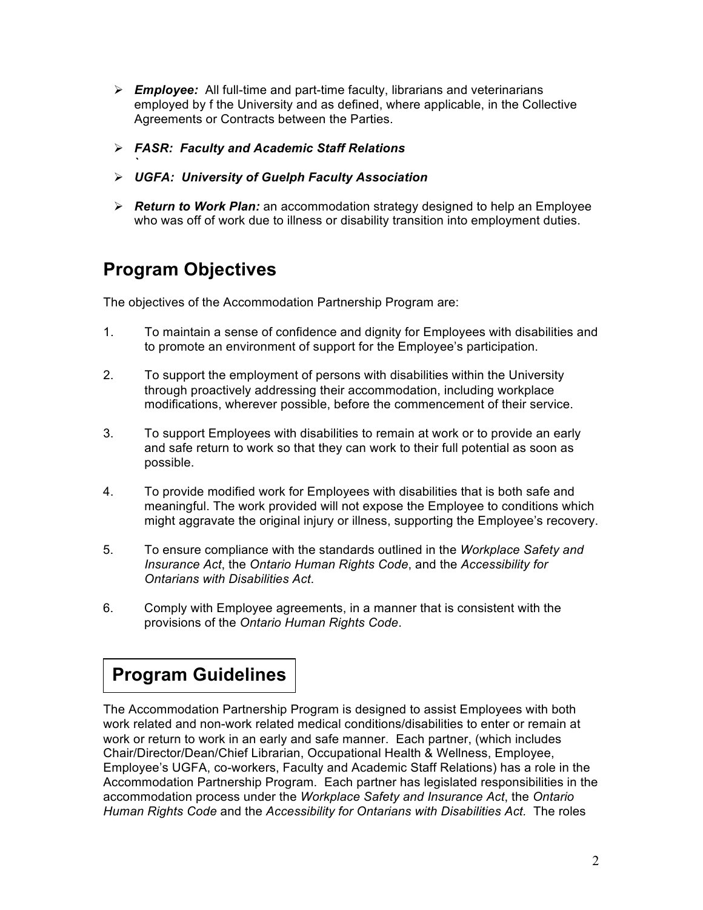- *Employee:* All full-time and part-time faculty, librarians and veterinarians employed by f the University and as defined, where applicable, in the Collective Agreements or Contracts between the Parties.
- *FASR: Faculty and Academic Staff Relations*
- *UGFA: University of Guelph Faculty Association*
- *Return to Work Plan:* an accommodation strategy designed to help an Employee who was off of work due to illness or disability transition into employment duties.

# **Program Objectives**

*`* 

The objectives of the Accommodation Partnership Program are:

- 1. To maintain a sense of confidence and dignity for Employees with disabilities and to promote an environment of support for the Employee's participation.
- 2. To support the employment of persons with disabilities within the University through proactively addressing their accommodation, including workplace modifications, wherever possible, before the commencement of their service.
- 3. To support Employees with disabilities to remain at work or to provide an early and safe return to work so that they can work to their full potential as soon as possible.
- 4. To provide modified work for Employees with disabilities that is both safe and meaningful. The work provided will not expose the Employee to conditions which might aggravate the original injury or illness, supporting the Employee's recovery.
- 5. To ensure compliance with the standards outlined in the *Workplace Safety and Insurance Act*, the *Ontario Human Rights Code*, and the *Accessibility for Ontarians with Disabilities Act*.
- 6. Comply with Employee agreements, in a manner that is consistent with the provisions of the *Ontario Human Rights Code*.

## **Program Guidelines**

The Accommodation Partnership Program is designed to assist Employees with both work related and non-work related medical conditions/disabilities to enter or remain at work or return to work in an early and safe manner. Each partner, (which includes Chair/Director/Dean/Chief Librarian, Occupational Health & Wellness, Employee, Employee's UGFA, co-workers, Faculty and Academic Staff Relations) has a role in the Accommodation Partnership Program. Each partner has legislated responsibilities in the accommodation process under the *Workplace Safety and Insurance Act*, the *Ontario Human Rights Code* and the *Accessibility for Ontarians with Disabilities Act.* The roles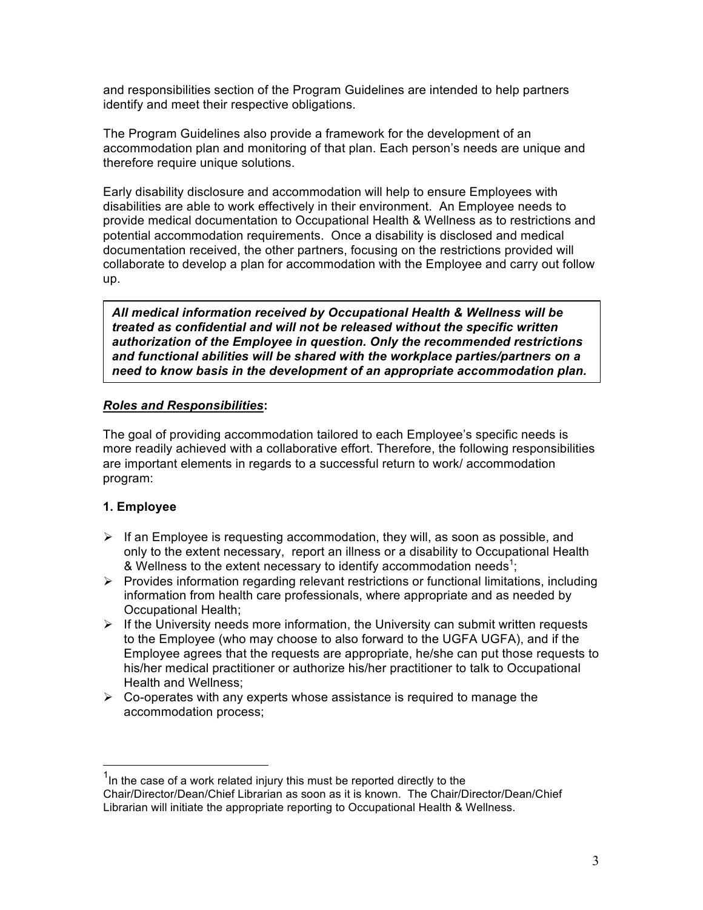and responsibilities section of the Program Guidelines are intended to help partners identify and meet their respective obligations.

The Program Guidelines also provide a framework for the development of an accommodation plan and monitoring of that plan. Each person's needs are unique and therefore require unique solutions.

Early disability disclosure and accommodation will help to ensure Employees with disabilities are able to work effectively in their environment. An Employee needs to provide medical documentation to Occupational Health & Wellness as to restrictions and potential accommodation requirements. Once a disability is disclosed and medical documentation received, the other partners, focusing on the restrictions provided will collaborate to develop a plan for accommodation with the Employee and carry out follow up.

*All medical information received by Occupational Health & Wellness will be treated as confidential and will not be released without the specific written authorization of the Employee in question. Only the recommended restrictions and functional abilities will be shared with the workplace parties/partners on a need to know basis in the development of an appropriate accommodation plan.* 

#### *Roles and Responsibilities***:**

The goal of providing accommodation tailored to each Employee's specific needs is more readily achieved with a collaborative effort. Therefore, the following responsibilities are important elements in regards to a successful return to work/ accommodation program:

#### **1. Employee**

 $\overline{a}$ 

- $\triangleright$  If an Employee is requesting accommodation, they will, as soon as possible, and only to the extent necessary, report an illness or a disability to Occupational Health & Wellness to the extent necessary to identify accommodation needs<sup>1</sup>;
- $\triangleright$  Provides information regarding relevant restrictions or functional limitations, including information from health care professionals, where appropriate and as needed by Occupational Health;
- $\triangleright$  If the University needs more information, the University can submit written requests to the Employee (who may choose to also forward to the UGFA UGFA), and if the Employee agrees that the requests are appropriate, he/she can put those requests to his/her medical practitioner or authorize his/her practitioner to talk to Occupational Health and Wellness;
- $\triangleright$  Co-operates with any experts whose assistance is required to manage the accommodation process;

 Chair/Director/Dean/Chief Librarian as soon as it is known. The Chair/Director/Dean/Chief Librarian will initiate the appropriate reporting to Occupational Health & Wellness.  $1$ In the case of a work related injury this must be reported directly to the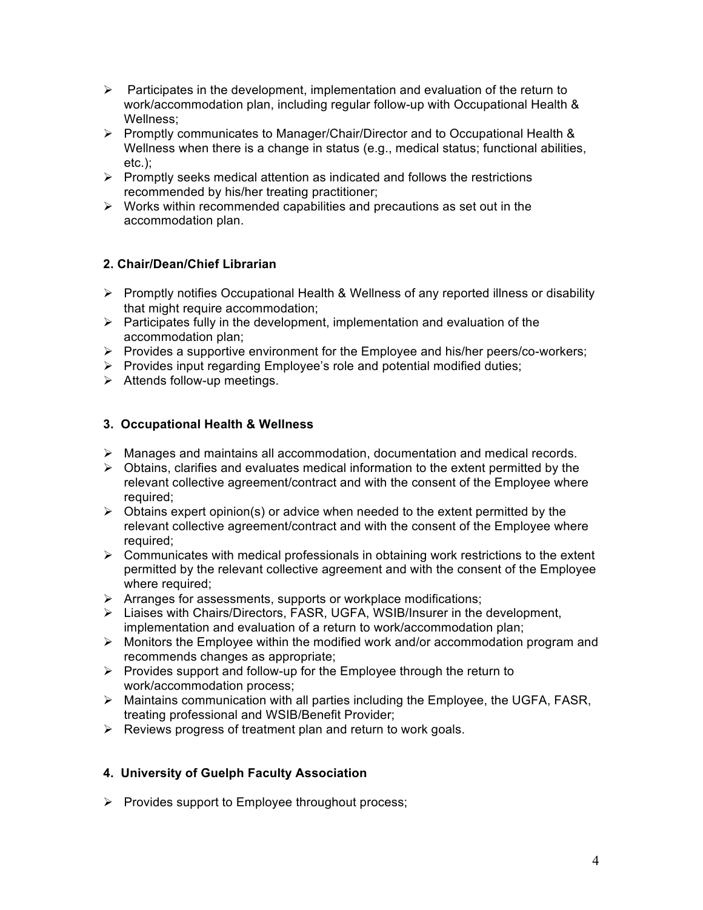- $\triangleright$  Participates in the development, implementation and evaluation of the return to work/accommodation plan, including regular follow-up with Occupational Health & Wellness;
- • Promptly communicates to Manager/Chair/Director and to Occupational Health & Wellness when there is a change in status (e.g., medical status; functional abilities, etc.);
- $\triangleright$  Promptly seeks medical attention as indicated and follows the restrictions recommended by his/her treating practitioner;
- $\triangleright$  Works within recommended capabilities and precautions as set out in the accommodation plan.

## **2. Chair/Dean/Chief Librarian**

- $\triangleright$  Promptly notifies Occupational Health & Wellness of any reported illness or disability that might require accommodation;
- $\triangleright$  Participates fully in the development, implementation and evaluation of the accommodation plan;
- $\triangleright$  Provides a supportive environment for the Employee and his/her peers/co-workers;
- $\triangleright$  Provides input regarding Employee's role and potential modified duties;
- $\triangleright$  Attends follow-up meetings.

## **3. Occupational Health & Wellness**

- $\triangleright$  Manages and maintains all accommodation, documentation and medical records.
- $\triangleright$  Obtains, clarifies and evaluates medical information to the extent permitted by the relevant collective agreement/contract and with the consent of the Employee where required:
- $\triangleright$  Obtains expert opinion(s) or advice when needed to the extent permitted by the relevant collective agreement/contract and with the consent of the Employee where required:
- $\triangleright$  Communicates with medical professionals in obtaining work restrictions to the extent permitted by the relevant collective agreement and with the consent of the Employee where required:
- $\triangleright$  Arranges for assessments, supports or workplace modifications;
- implementation and evaluation of a return to work/accommodation plan; • Liaises with Chairs/Directors, FASR, UGFA, WSIB/Insurer in the development,
- $\triangleright$  Monitors the Employee within the modified work and/or accommodation program and recommends changes as appropriate;
- $\triangleright$  Provides support and follow-up for the Employee through the return to work/accommodation process;
- $\triangleright$  Maintains communication with all parties including the Employee, the UGFA, FASR, treating professional and WSIB/Benefit Provider;
- $\triangleright$  Reviews progress of treatment plan and return to work goals.

## **4. University of Guelph Faculty Association**

 $\triangleright$  Provides support to Employee throughout process;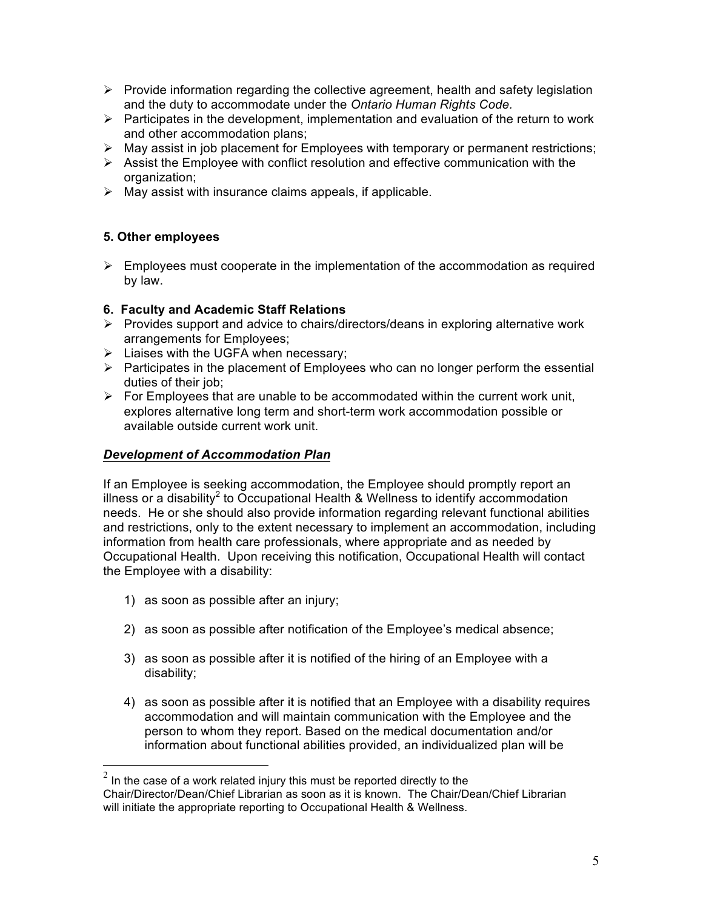- $\triangleright$  Provide information regarding the collective agreement, health and safety legislation  and the duty to accommodate under the *Ontario Human Rights Code.*
- $\triangleright$  Participates in the development, implementation and evaluation of the return to work and other accommodation plans;
- $\triangleright$  May assist in job placement for Employees with temporary or permanent restrictions;
- $\triangleright$  Assist the Employee with conflict resolution and effective communication with the organization;
- $\triangleright$  May assist with insurance claims appeals, if applicable.

## **5. Other employees**

 $\triangleright$  Employees must cooperate in the implementation of the accommodation as required by law.

## **6. Faculty and Academic Staff Relations**

- $\triangleright$  Provides support and advice to chairs/directors/deans in exploring alternative work arrangements for Employees;
- $\triangleright$  Liaises with the UGFA when necessary;
- $\triangleright$  Participates in the placement of Employees who can no longer perform the essential duties of their job;
- $\triangleright$  For Employees that are unable to be accommodated within the current work unit, explores alternative long term and short-term work accommodation possible or available outside current work unit.

## *Development of Accommodation Plan*

 If an Employee is seeking accommodation, the Employee should promptly report an illness or a disability<sup>2</sup> to Occupational Health & Wellness to identify accommodation needs. He or she should also provide information regarding relevant functional abilities and restrictions, only to the extent necessary to implement an accommodation, including information from health care professionals, where appropriate and as needed by Occupational Health. Upon receiving this notification, Occupational Health will contact the Employee with a disability:

1) as soon as possible after an injury;

 $\overline{a}$ 

- 2) as soon as possible after notification of the Employee's medical absence;
- 3) as soon as possible after it is notified of the hiring of an Employee with a disability;
- 4) as soon as possible after it is notified that an Employee with a disability requires person to whom they report. Based on the medical documentation and/or information about functional abilities provided, an individualized plan will be accommodation and will maintain communication with the Employee and the

 Chair/Director/Dean/Chief Librarian as soon as it is known. The Chair/Dean/Chief Librarian will initiate the appropriate reporting to Occupational Health & Wellness.  $^2$  In the case of a work related injury this must be reported directly to the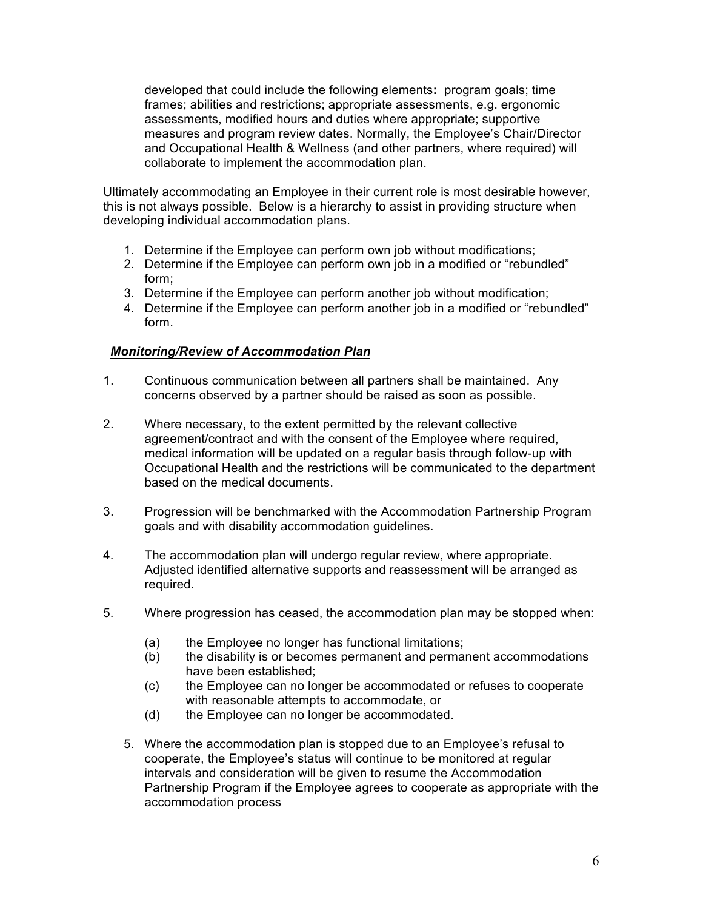developed that could include the following elements**:** program goals; time measures and program review dates. Normally, the Employee's Chair/Director and Occupational Health & Wellness (and other partners, where required) will collaborate to implement the accommodation plan. frames; abilities and restrictions; appropriate assessments, e.g. ergonomic assessments, modified hours and duties where appropriate; supportive

 Ultimately accommodating an Employee in their current role is most desirable however, this is not always possible. Below is a hierarchy to assist in providing structure when developing individual accommodation plans.

- developing individual accommodation plans. 1. Determine if the Employee can perform own job without modifications;
	- 2. Determine if the Employee can perform own job in a modified or "rebundled" form;
	- 3. Determine if the Employee can perform another job without modification;
	- 4. Determine if the Employee can perform another job in a modified or "rebundled" form.

#### *Monitoring/Review of Accommodation Plan*

- 1. Continuous communication between all partners shall be maintained. Any concerns observed by a partner should be raised as soon as possible.
- 2. Where necessary, to the extent permitted by the relevant collective agreement/contract and with the consent of the Employee where required, medical information will be updated on a regular basis through follow-up with Occupational Health and the restrictions will be communicated to the department based on the medical documents.
- 3. Progression will be benchmarked with the Accommodation Partnership Program goals and with disability accommodation guidelines.
- 4. The accommodation plan will undergo regular review, where appropriate. Adjusted identified alternative supports and reassessment will be arranged as required.
- 5. Where progression has ceased, the accommodation plan may be stopped when:
	- (a) the Employee no longer has functional limitations;
	- (b) the disability is or becomes permanent and permanent accommodations have been established;
	- $(c)$  with reasonable attempts to accommodate, or the Employee can no longer be accommodated or refuses to cooperate
	- (d) the Employee can no longer be accommodated.
	- 5. Where the accommodation plan is stopped due to an Employee's refusal to cooperate, the Employee's status will continue to be monitored at regular intervals and consideration will be given to resume the Accommodation Partnership Program if the Employee agrees to cooperate as appropriate with the accommodation process